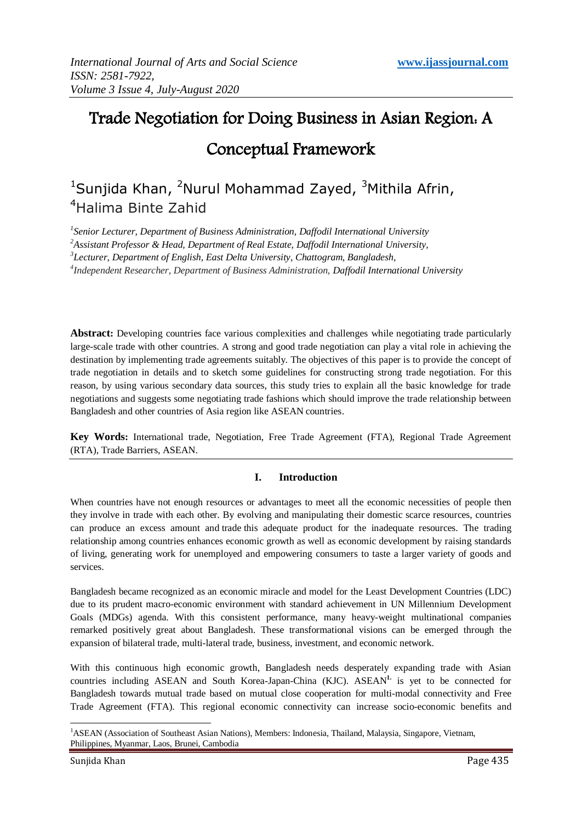# Trade Negotiation for Doing Business in Asian Region: A Conceptual Framework

# <sup>1</sup>Sunjida Khan, <sup>2</sup>Nurul Mohammad Zayed, <sup>3</sup>Mithila Afrin, <sup>4</sup>Halima Binte Zahid

 *Senior Lecturer, Department of Business Administration, Daffodil International University Assistant Professor & Head, Department of Real Estate, Daffodil International University, Lecturer, Department of English, East Delta University, Chattogram, Bangladesh, Independent Researcher, Department of Business Administration, Daffodil International University*

**Abstract:** Developing countries face various complexities and challenges while negotiating trade particularly large-scale trade with other countries. A strong and good trade negotiation can play a vital role in achieving the destination by implementing trade agreements suitably. The objectives of this paper is to provide the concept of trade negotiation in details and to sketch some guidelines for constructing strong trade negotiation. For this reason, by using various secondary data sources, this study tries to explain all the basic knowledge for trade negotiations and suggests some negotiating trade fashions which should improve the trade relationship between Bangladesh and other countries of Asia region like ASEAN countries.

**Key Words:** International trade, Negotiation, Free Trade Agreement (FTA), Regional Trade Agreement (RTA), Trade Barriers, ASEAN.

# **I. Introduction**

When countries have not enough resources or advantages to meet all the economic necessities of people then they involve in trade with each other. By evolving and manipulating their domestic scarce resources, countries can produce an excess amount and trade this adequate product for the inadequate resources. The trading relationship among countries enhances economic growth as well as economic development by raising standards of living, generating work for unemployed and empowering consumers to taste a larger variety of goods and services.

Bangladesh became recognized as an economic miracle and model for the Least Development Countries (LDC) due to its prudent macro-economic environment with standard achievement in UN Millennium Development Goals (MDGs) agenda. With this consistent performance, many heavy-weight multinational companies remarked positively great about Bangladesh. These transformational visions can be emerged through the expansion of bilateral trade, multi-lateral trade, business, investment, and economic network.

With this continuous high economic growth, Bangladesh needs desperately expanding trade with Asian countries including ASEAN and South Korea-Japan-China (KJC). ASEAN**1.** is yet to be connected for Bangladesh towards mutual trade based on mutual close cooperation for multi-modal connectivity and Free Trade Agreement (FTA). This regional economic connectivity can increase socio-economic benefits and

<sup>-</sup><sup>1</sup>ASEAN (Association of Southeast Asian Nations), Members: Indonesia, Thailand, Malaysia, Singapore, Vietnam, Philippines, Myanmar, Laos, Brunei, Cambodia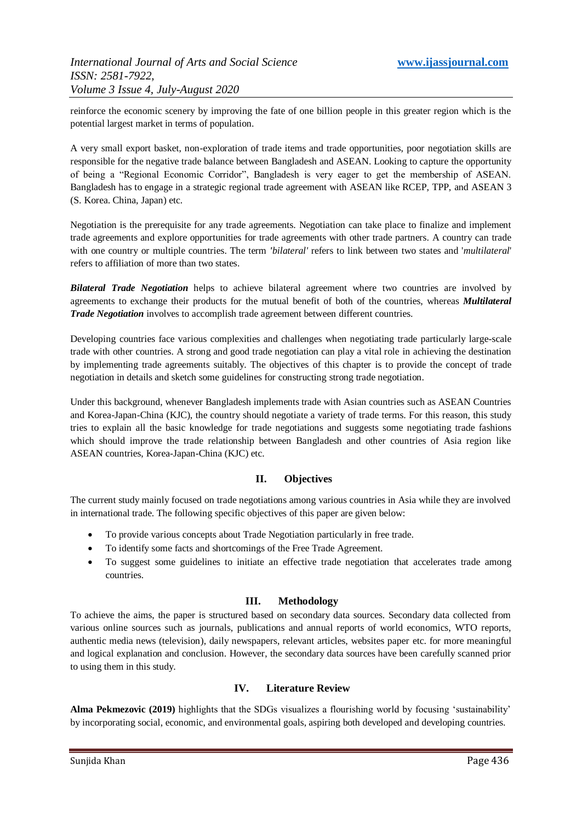reinforce the economic scenery by improving the fate of one billion people in this greater region which is the potential largest market in terms of population.

A very small export basket, non-exploration of trade items and trade opportunities, poor negotiation skills are responsible for the negative trade balance between Bangladesh and ASEAN. Looking to capture the opportunity of being a "Regional Economic Corridor", Bangladesh is very eager to get the membership of ASEAN. Bangladesh has to engage in a strategic regional trade agreement with ASEAN like RCEP, TPP, and ASEAN 3 (S. Korea. China, Japan) etc.

Negotiation is the prerequisite for any trade agreements. Negotiation can take place to finalize and implement trade agreements and explore opportunities for trade agreements with other trade partners. A country can trade with one country or multiple countries. The term *'bilateral'* refers to link between two states and '*multilateral*' refers to affiliation of more than two states.

*Bilateral Trade Negotiation* helps to achieve bilateral agreement where two countries are involved by agreements to exchange their products for the mutual benefit of both of the countries, whereas *Multilateral Trade Negotiation* involves to accomplish trade agreement between different countries.

Developing countries face various complexities and challenges when negotiating trade particularly large-scale trade with other countries. A strong and good trade negotiation can play a vital role in achieving the destination by implementing trade agreements suitably. The objectives of this chapter is to provide the concept of trade negotiation in details and sketch some guidelines for constructing strong trade negotiation.

Under this background, whenever Bangladesh implements trade with Asian countries such as ASEAN Countries and Korea-Japan-China (KJC), the country should negotiate a variety of trade terms. For this reason, this study tries to explain all the basic knowledge for trade negotiations and suggests some negotiating trade fashions which should improve the trade relationship between Bangladesh and other countries of Asia region like ASEAN countries, Korea-Japan-China (KJC) etc.

# **II. Objectives**

The current study mainly focused on trade negotiations among various countries in Asia while they are involved in international trade. The following specific objectives of this paper are given below:

- To provide various concepts about Trade Negotiation particularly in free trade.
- To identify some facts and shortcomings of the Free Trade Agreement.
- To suggest some guidelines to initiate an effective trade negotiation that accelerates trade among countries.

# **III. Methodology**

To achieve the aims, the paper is structured based on secondary data sources. Secondary data collected from various online sources such as journals, publications and annual reports of world economics, WTO reports, authentic media news (television), daily newspapers, relevant articles, websites paper etc. for more meaningful and logical explanation and conclusion. However, the secondary data sources have been carefully scanned prior to using them in this study.

# **IV. Literature Review**

**Alma Pekmezovic (2019)** highlights that the SDGs visualizes a flourishing world by focusing "sustainability" by incorporating social, economic, and environmental goals, aspiring both developed and developing countries.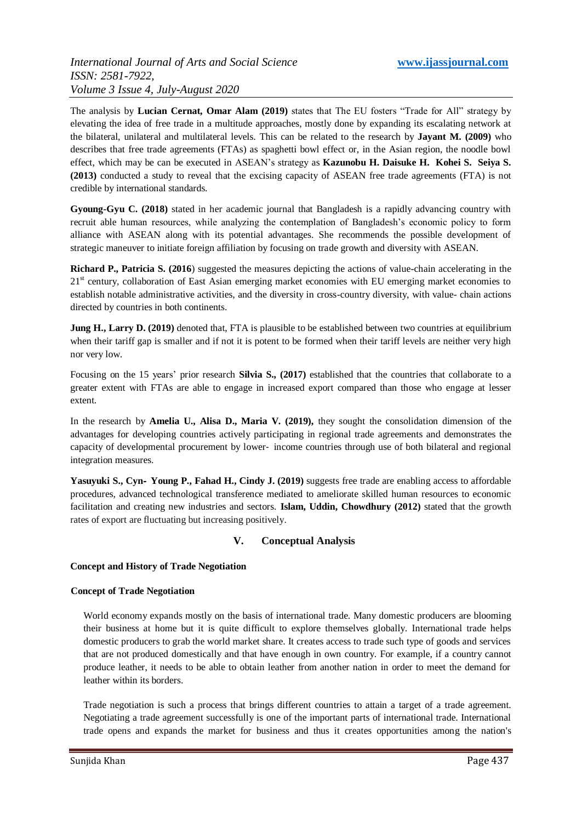The analysis by **Lucian Cernat, Omar Alam (2019)** states that The EU fosters "Trade for All" strategy by elevating the idea of free trade in a multitude approaches, mostly done by expanding its escalating network at the bilateral, unilateral and multilateral levels. This can be related to the research by **Jayant M. (2009)** who describes that free trade agreements (FTAs) as spaghetti bowl effect or, in the Asian region, the noodle bowl effect, which may be can be executed in ASEAN"s strategy as **Kazunobu H. Daisuke H. Kohei S. Seiya S. (2013)** conducted a study to reveal that the excising capacity of ASEAN free trade agreements (FTA) is not credible by international standards.

**Gyoung-Gyu C. (2018)** stated in her academic journal that Bangladesh is a rapidly advancing country with recruit able human resources, while analyzing the contemplation of Bangladesh"s economic policy to form alliance with ASEAN along with its potential advantages. She recommends the possible development of strategic maneuver to initiate foreign affiliation by focusing on trade growth and diversity with ASEAN.

**Richard P., Patricia S. (2016**) suggested the measures depicting the actions of value-chain accelerating in the  $21<sup>st</sup>$  century, collaboration of East Asian emerging market economies with EU emerging market economies to establish notable administrative activities, and the diversity in cross-country diversity, with value- chain actions directed by countries in both continents.

**Jung H., Larry D. (2019)** denoted that, FTA is plausible to be established between two countries at equilibrium when their tariff gap is smaller and if not it is potent to be formed when their tariff levels are neither very high nor very low.

Focusing on the 15 years" prior research **Silvia S., (2017)** established that the countries that collaborate to a greater extent with FTAs are able to engage in increased export compared than those who engage at lesser extent.

In the research by **Amelia U., Alisa D., Maria V. (2019),** they sought the consolidation dimension of the advantages for developing countries actively participating in regional trade agreements and demonstrates the capacity of developmental procurement by lower‐ income countries through use of both bilateral and regional integration measures.

**Yasuyuki S., Cyn**‐ **Young P., Fahad H., Cindy J. (2019)** suggests free trade are enabling access to affordable procedures, advanced technological transference mediated to ameliorate skilled human resources to economic facilitation and creating new industries and sectors. **Islam, Uddin, Chowdhury (2012)** stated that the growth rates of export are fluctuating but increasing positively.

# **V. Conceptual Analysis**

# **Concept and History of Trade Negotiation**

# **Concept of Trade Negotiation**

World economy expands mostly on the basis of international trade. Many domestic producers are blooming their business at home but it is quite difficult to explore themselves globally. International trade helps domestic producers to grab the world market share. It creates access to trade such type of goods and services that are not produced domestically and that have enough in own country. For example, if a country cannot produce leather, it needs to be able to obtain leather from another nation in order to meet the demand for leather within its borders.

Trade negotiation is such a process that brings different countries to attain a target of a trade agreement. Negotiating a trade agreement successfully is one of the important parts of international trade. International trade opens and expands the market for business and thus it creates opportunities among the nation's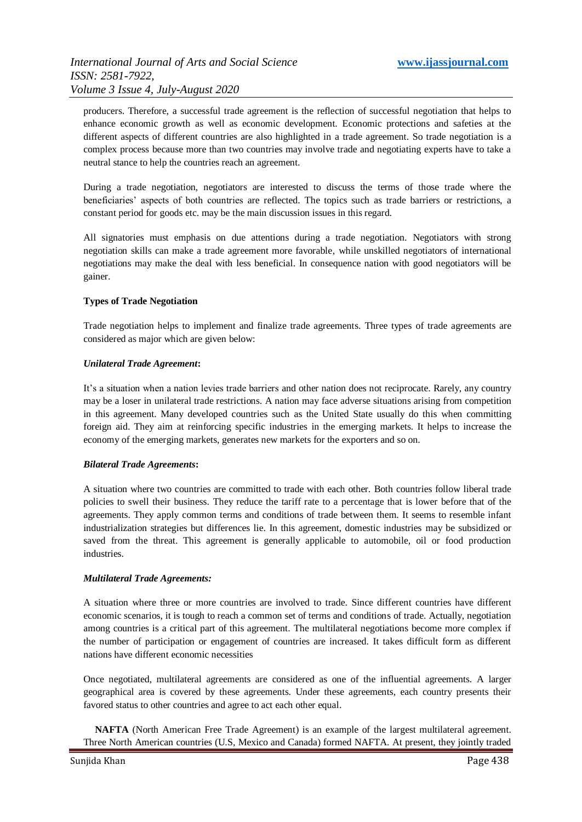producers. Therefore, a successful trade agreement is the reflection of successful negotiation that helps to enhance economic growth as well as economic development. Economic protections and safeties at the different aspects of different countries are also highlighted in a trade agreement. So trade negotiation is a complex process because more than two countries may involve trade and negotiating experts have to take a neutral stance to help the countries reach an agreement.

During a trade negotiation, negotiators are interested to discuss the terms of those trade where the beneficiaries" aspects of both countries are reflected. The topics such as trade barriers or restrictions, a constant period for goods etc. may be the main discussion issues in this regard.

All signatories must emphasis on due attentions during a trade negotiation. Negotiators with strong negotiation skills can make a trade agreement more favorable, while unskilled negotiators of international negotiations may make the deal with less beneficial. In consequence nation with good negotiators will be gainer.

# **Types of Trade Negotiation**

Trade negotiation helps to implement and finalize trade agreements. Three types of trade agreements are considered as major which are given below:

#### *[Unilateral Trade Agreement](https://www.thebalance.com/unilateral-trade-agreements-definition-examples-3305904)***:**

It"s a situation when a nation levies trade barriers and other nation does not reciprocate. Rarely, any country may be a loser in unilateral trade restrictions. A nation may face adverse situations arising from competition in this agreement. Many developed countries such as the United State usually do this when committing foreign aid. They aim at reinforcing specific industries in the emerging markets. It helps to increase the economy of the emerging markets, generates new markets for the exporters and so on.

#### *[Bilateral Trade Agreements](https://www.thebalance.com/what-are-bilateral-trade-agreements-pros-cons-and-list-3305911)***:**

A situation where two countries are committed to trade with each other. Both countries follow liberal trade policies to swell their business. They reduce the tariff rate to a percentage that is lower before that of the agreements. They apply common terms and conditions of trade between them. It seems to resemble infant industrialization strategies but differences lie. In this agreement, domestic industries may be subsidized or saved from the threat. This agreement is generally applicable to automobile, oil or food production industries.

# *[Multilateral Trade Agreements:](https://www.thebalance.com/multilateral-trade-agreements-pros-cons-and-examples-3305949)*

A situation where three or more countries are involved to trade. Since different countries have different economic scenarios, it is tough to reach a common set of terms and conditions of trade. Actually, negotiation among countries is a critical part of this agreement. The multilateral negotiations become more complex if the number of participation or engagement of countries are increased. It takes difficult form as different nations have different economic necessities

Once negotiated, multilateral agreements are considered as one of the influential agreements. A larger geographical area is covered by these agreements. Under these agreements, each country presents their favored status to other countries and agree to act each other equal.

 **NAFTA** [\(North American Free Trade Agreement\)](https://www.thebalance.com/facts-about-nafta-statistics-and-accomplishments-3306280) is an example of the largest multilateral agreement. Three North American countries (U.S, Mexico and Canada) formed NAFTA. At present, they jointly traded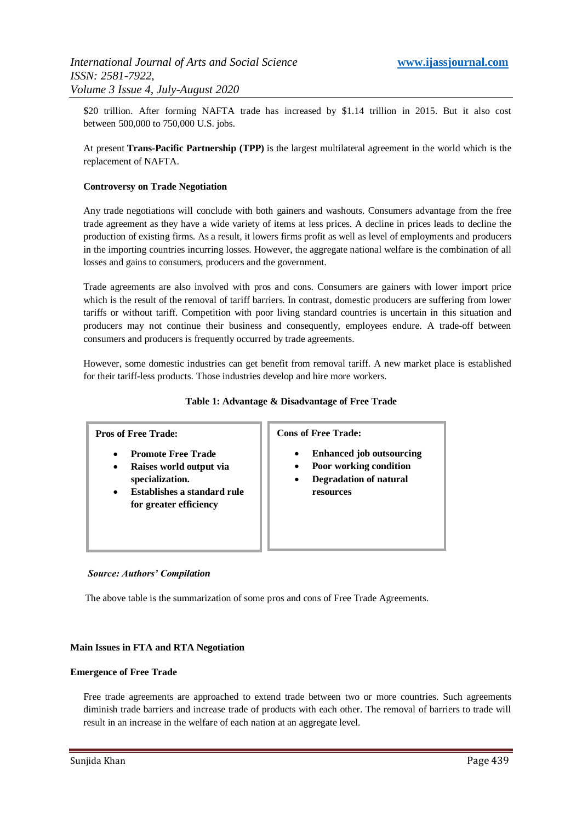\$20 trillion. After forming NAFTA trade has increased by \$1.14 trillion in 2015. But it also cost between 500,000 to 750,000 U.S. jobs.

At present **[Trans-Pacific Partnership](https://www.thebalance.com/what-is-the-trans-pacific-partnership-3305581) (TPP)** is the largest multilateral agreement in the world which is the replacement of NAFTA.

#### **Controversy on Trade Negotiation**

Any trade negotiations will conclude with both gainers and washouts. Consumers advantage from the free trade agreement as they have a wide variety of items at less prices. A decline in prices leads to decline the production of existing firms. As a result, it lowers firms profit as well as level of employments and producers in the importing countries incurring losses. However, the aggregate national welfare is the combination of all losses and gains to consumers, producers and the government.

Trade agreements are also involved with pros and cons. Consumers are gainers with lower import price which is the result of the removal of tariff barriers. In contrast, domestic producers are suffering from lower tariffs or without tariff. Competition with poor living standard countries is uncertain in this situation and producers may not continue their business and consequently, employees endure. A trade-off between consumers and producers is frequently occurred by trade agreements.

However, some domestic industries can get benefit from removal tariff. A new market place is established for their tariff-less products. Those industries develop and hire more workers.

#### **Table 1: Advantage & Disadvantage of Free Trade**

# **Pros of Free Trade:**

- **Promote Free Trade**
- **Raises world output via specialization.**
- **Establishes a standard rule for greater efficiency**

**Cons of Free Trade:**

- **Enhanced job outsourcing**
- **Poor working condition**
- **Degradation of natural resources**

#### *Source: Authors' Compilation*

The above table is the summarization of some pros and cons of Free Trade Agreements.

#### **Main Issues in FTA and RTA Negotiation**

#### **Emergence of Free Trade**

Free trade agreements are approached to extend trade between two or more countries. Such agreements diminish trade barriers and increase trade of products with each other. The removal of barriers to trade will result in an increase in the welfare of each nation at an aggregate level.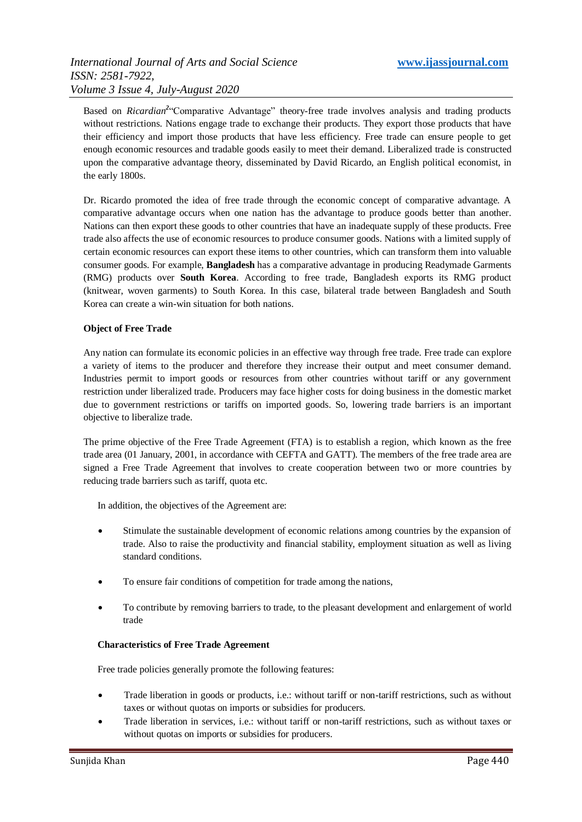Based on *Ricardian*<sup>2</sup> Comparative Advantage" theory-free trade involves analysis and trading products without restrictions. Nations engage trade to exchange their products. They export those products that have their efficiency and import those products that have less efficiency. Free trade can ensure people to get enough economic resources and tradable goods easily to meet their demand. Liberalized trade is constructed upon the comparative advantage theory, disseminated by David Ricardo, an English political economist, in the early 1800s.

Dr. Ricardo promoted the idea of free trade through the economic concept of comparative advantage. A comparative advantage occurs when one nation has the advantage to produce goods better than another. Nations can then export these goods to other countries that have an inadequate supply of these products. Free trade also affects the use of economic resources to produce consumer goods. Nations with a limited supply of certain economic resources can export these items to other countries, which can transform them into valuable consumer goods. For example, **Bangladesh** has a comparative advantage in producing Readymade Garments (RMG) products over **South Korea**. According to free trade, Bangladesh exports its RMG product (knitwear, woven garments) to South Korea. In this case, bilateral trade between Bangladesh and South Korea can create a win-win situation for both nations.

#### **Object of Free Trade**

Any nation can formulate its economic policies in an effective way through free trade. Free trade can explore a variety of items to the producer and therefore they increase their output and meet consumer demand. Industries permit to import goods or resources from other countries without tariff or any government restriction under liberalized trade. Producers may face higher costs for doing business in the domestic market due to government restrictions or tariffs on imported goods. So, lowering trade barriers is an important objective to liberalize trade.

The prime objective of the Free Trade Agreement (FTA) is to establish a region, which known as the free trade area (01 January, 2001, in accordance with CEFTA and GATT). The members of the free trade area are signed a Free Trade Agreement that involves to create cooperation between two or more countries by reducing trade barriers such as tariff, quota etc.

In addition, the objectives of the Agreement are:

- Stimulate the sustainable development of economic relations among countries by the expansion of trade. Also to raise the productivity and financial stability, employment situation as well as living standard conditions.
- To ensure fair conditions of competition for trade among the nations,
- To contribute by removing barriers to trade, to the pleasant development and enlargement of world trade

#### **Characteristics of Free Trade Agreement**

Free trade policies generally promote the following features:

- Trade liberation in goods or products, i.e.: without tariff or non-tariff restrictions, such as without taxes or without quotas on imports or subsidies for producers.
- Trade liberation in services, i.e.: without tariff or non-tariff restrictions, such as without taxes or without quotas on imports or subsidies for producers.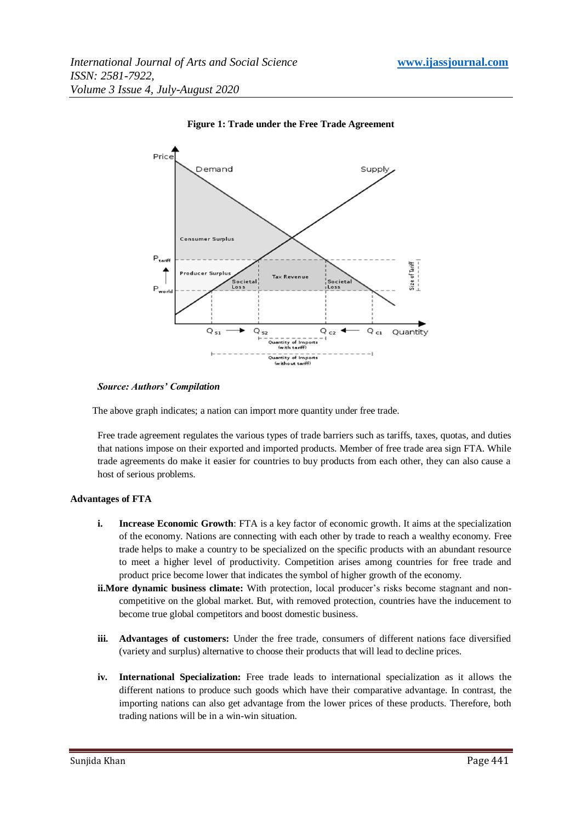

#### **Figure 1: Trade under the Free Trade Agreement**

#### *Source: Authors' Compilation*

The above graph indicates; a nation can import more quantity under free trade.

Free trade agreement regulates the various types of trade barriers such as tariffs, taxes, quotas, and duties that nations impose on their exported and imported products. Member of free trade area sign FTA. While trade agreements do make it easier for countries to buy products from each other, they can also cause a host of serious problems.

#### **Advantages of FTA**

- **i. Increase Economic Growth**: FTA is a key factor of economic growth. It aims at the specialization of the economy. Nations are connecting with each other by trade to reach a wealthy economy. Free trade helps to make a country to be specialized on the specific products with an abundant resource to meet a higher level of productivity. Competition arises among countries for free trade and product price become lower that indicates the symbol of higher growth of the economy.
- **ii.More dynamic business climate:** With protection, local producer's risks become stagnant and noncompetitive on the global market. But, with removed protection, countries have the inducement to become true global competitors and boost domestic business.
- **iii. Advantages of customers:** Under the free trade, consumers of different nations face diversified (variety and surplus) alternative to choose their products that will lead to decline prices.
- **iv. International Specialization:** Free trade leads to international specialization as it allows the different nations to produce such goods which have their comparative advantage. In contrast, the importing nations can also get advantage from the lower prices of these products. Therefore, both trading nations will be in a win-win situation.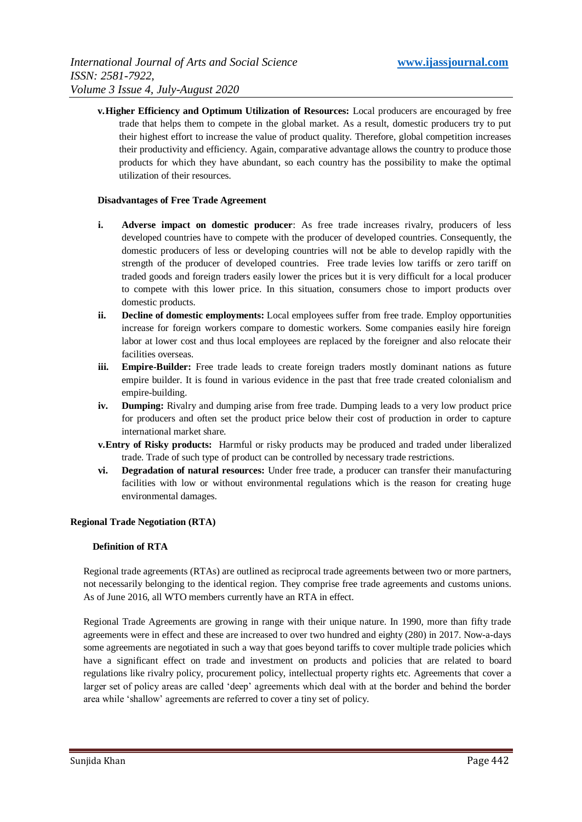**v.Higher Efficiency and Optimum Utilization of Resources:** Local producers are encouraged by free trade that helps them to compete in the global market. As a result, domestic producers try to put their highest effort to increase the value of product quality. Therefore, global competition increases their productivity and efficiency. Again, comparative advantage allows the country to produce those products for which they have abundant, so each country has the possibility to make the optimal utilization of their resources.

#### **Disadvantages of Free Trade Agreement**

- **i. Adverse impact on domestic producer**: As free trade increases rivalry, producers of less developed countries have to compete with the producer of developed countries. Consequently, the domestic producers of less or developing countries will not be able to develop rapidly with the strength of the producer of developed countries. Free trade levies low tariffs or zero tariff on traded goods and foreign traders easily lower the prices but it is very difficult for a local producer to compete with this lower price. In this situation, consumers chose to import products over domestic products.
- **ii. Decline of domestic employments:** Local employees suffer from free trade. Employ opportunities increase for foreign workers compare to domestic workers. Some companies easily hire foreign labor at lower cost and thus local employees are replaced by the foreigner and also relocate their facilities overseas.
- **iii. Empire-Builder:** Free trade leads to create foreign traders mostly dominant nations as future empire builder. It is found in various evidence in the past that free trade created colonialism and empire-building.
- **iv. Dumping:** Rivalry and dumping arise from free trade. Dumping leads to a very low product price for producers and often set the product price below their cost of production in order to capture international market share.
- **v.Entry of Risky products:** Harmful or risky products may be produced and traded under liberalized trade. Trade of such type of product can be controlled by necessary trade restrictions.
- **vi. Degradation of natural resources:** Under free trade, a producer can transfer their manufacturing facilities with low or without environmental regulations which is the reason for creating huge environmental damages.

#### **Regional Trade Negotiation (RTA)**

#### **Definition of RTA**

Regional trade agreements (RTAs) are outlined as reciprocal trade agreements between two or more partners, not necessarily belonging to the identical region. They comprise free trade agreements and customs unions. As of June 2016, all WTO members currently have an RTA in effect.

Regional Trade Agreements are growing in range with their unique nature. In 1990, more than fifty trade agreements were in effect and these are increased to over two hundred and eighty (280) in 2017. Now-a-days some agreements are negotiated in such a way that goes beyond tariffs to cover multiple trade policies which have a significant effect on trade and investment on products and policies that are related to board regulations like rivalry policy, procurement policy, intellectual property rights etc. Agreements that cover a larger set of policy areas are called "deep" agreements which deal with at the border and behind the border area while "shallow" agreements are referred to cover a tiny set of policy.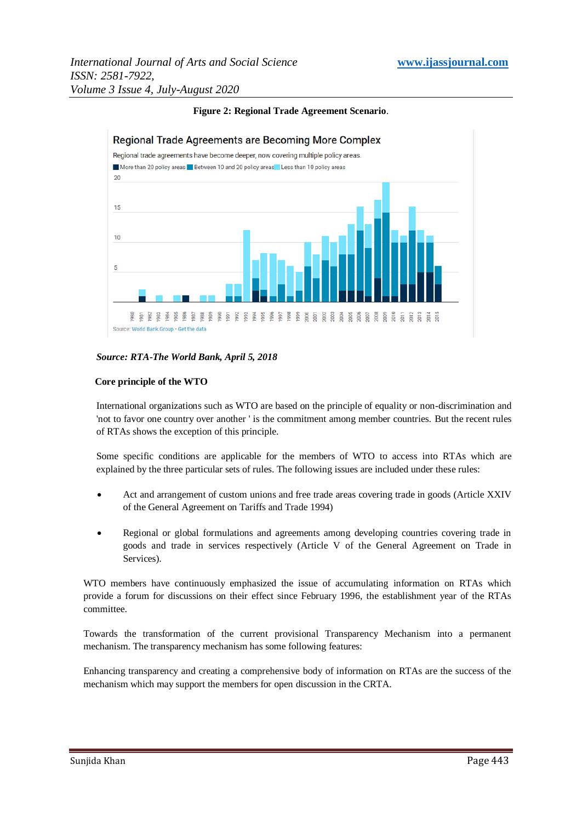

# **Figure 2: Regional Trade Agreement Scenario**.

#### *Source: RTA-The World Bank, April 5, 2018*

#### **Core principle of the WTO**

International organizations such as WTO are based on the principle of equality or non-discrimination and 'not to favor one country over another ' is the commitment among member countries. But the recent rules of RTAs shows the exception of this principle.

Some specific conditions are applicable for the members of WTO to access into RTAs which are explained by the three particular sets of rules. The following issues are included under these rules:

- Act and arrangement of custom unions and free trade areas covering trade in goods (Article XXIV of the General Agreement on Tariffs and Trade 1994)
- Regional or global formulations and agreements among developing countries covering trade in goods and trade in services respectively (Article V of the General Agreement on Trade in Services).

WTO members have continuously emphasized the issue of accumulating information on RTAs which provide a forum for discussions on their effect since February 1996, the establishment year of the RTAs committee.

Towards the transformation of the current provisional Transparency Mechanism into a permanent mechanism. The transparency mechanism has some following features:

Enhancing transparency and creating a comprehensive body of information on RTAs are the success of the mechanism which may support the members for open discussion in the CRTA.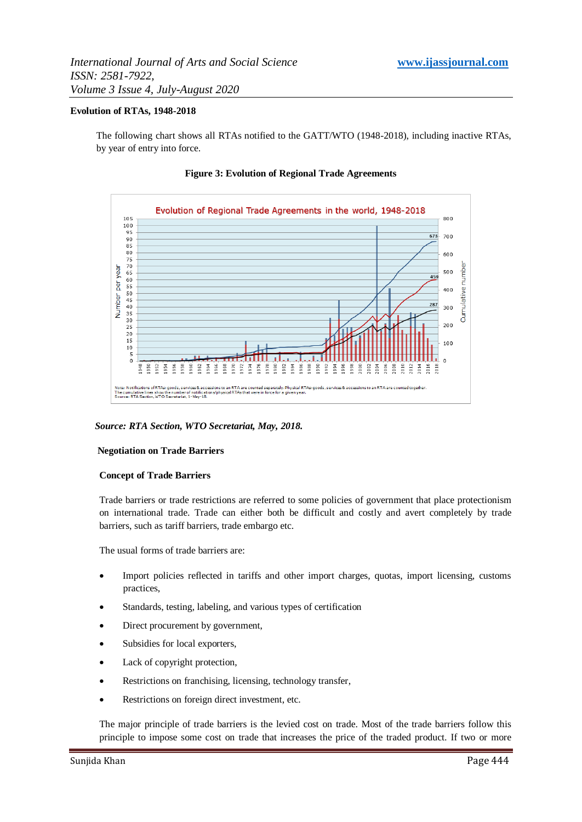#### **Evolution of RTAs, 1948-2018**

The following chart shows all RTAs notified to the GATT/WTO (1948-2018), including inactive RTAs, by year of entry into force.



**Figure 3: Evolution of Regional Trade Agreements**

*Source: RTA Section, WTO Secretariat, May, 2018.*

#### **Negotiation on Trade Barriers**

#### **Concept of Trade Barriers**

Trade barriers or trade restrictions are referred to some policies of government that place protectionism on international trade. Trade can either both be difficult and costly and avert completely by trade barriers, such as tariff barriers, trade embargo etc.

The usual forms of trade barriers are:

- Import policies reflected in tariffs and other import charges, quotas, import licensing, customs practices,
- Standards, testing, labeling, and various types of certification
- Direct procurement by government,
- Subsidies for local exporters,
- Lack of copyright protection,
- Restrictions on franchising, licensing, technology transfer,
- Restrictions on foreign direct investment, etc.

The major principle of trade barriers is the levied cost on trade. Most of the trade barriers follow this principle to impose some cost on trade that increases the price of the traded product. If two or more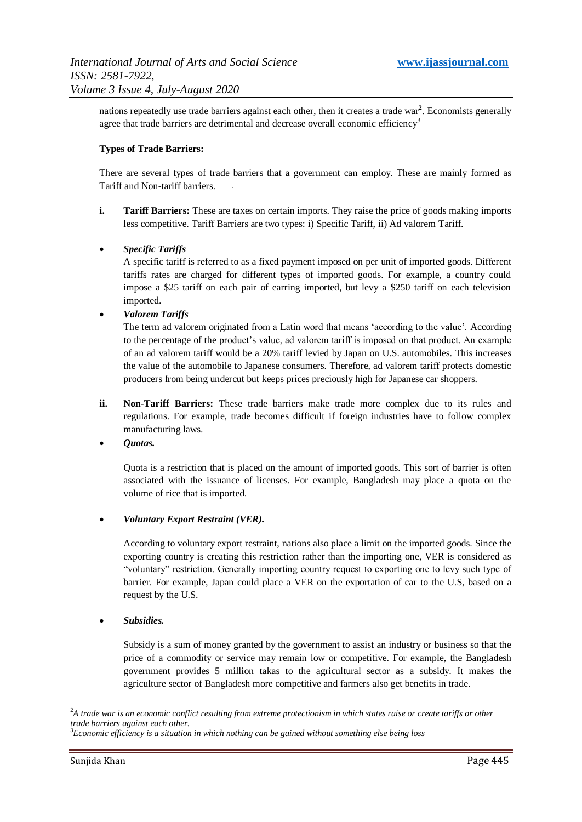nations repeatedly use trade barriers against each other, then it creates a trade war**<sup>2</sup>** . Economists generally agree that trade barriers are detrimental and decrease overall [economic efficiency](https://en.wikipedia.org/wiki/Efficiency_(economics))<sup>3</sup>

#### **Types of Trade Barriers:**

There are several types of trade barriers that a government can employ. These are mainly formed as Tariff and Non-tariff barriers.

**i. Tariff Barriers:** These are taxes on certain imports. They raise the price of goods making imports less competitive. Tariff Barriers are two types: i) Specific Tariff, ii) Ad valorem Tariff.

# *Specific Tariffs*

A specific tariff is referred to as a fixed payment imposed on per unit of imported goods. Different tariffs rates are charged for different types of imported goods. For example, a country could impose a \$25 tariff on each pair of earring imported, but levy a \$250 tariff on each television imported.

#### *Valorem Tariffs*

The term ad valorem originated from a Latin word that means "according to the value". According to the percentage of the product"s value, ad valorem tariff is imposed on that product. An example of an ad valorem tariff would be a 20% tariff levied by Japan on U.S. automobiles. This increases the value of the automobile to Japanese consumers. Therefore, ad valorem tariff protects domestic producers from being undercut but keeps prices preciously high for Japanese car shoppers.

- **ii. Non-Tariff Barriers:** These trade barriers make trade more complex due to its rules and regulations. For example, trade becomes difficult if foreign industries have to follow complex manufacturing laws.
- *Quotas.*

Quota is a restriction that is placed on the amount of imported goods. This sort of barrier is often associated with the issuance of licenses. For example, Bangladesh may place a quota on the volume of rice that is imported.

# *Voluntary Export Restraint (VER).*

According to voluntary export restraint, nations also place a limit on the imported goods. Since the exporting country is creating this restriction rather than the importing one, VER is considered as "voluntary" restriction. Generally importing country request to exporting one to levy such type of barrier. For example, Japan could place a VER on the exportation of car to the U.S, based on a request by the U.S.

*Subsidies.*

Subsidy is a sum of money granted by the government to assist an industry or business so that the price of a commodity or service may remain low or competitive. For example, the Bangladesh government provides 5 million takas to the agricultural sector as a subsidy. It makes the agriculture sector of Bangladesh more competitive and farmers also get benefits in trade.

-

<sup>2</sup>*A trade war is an economic conflict resulting from extreme protectionism in which states raise or create tariffs or other trade barriers against each other.*

<sup>3</sup>*Economic efficiency is a situation in which nothing can be gained without something else being loss*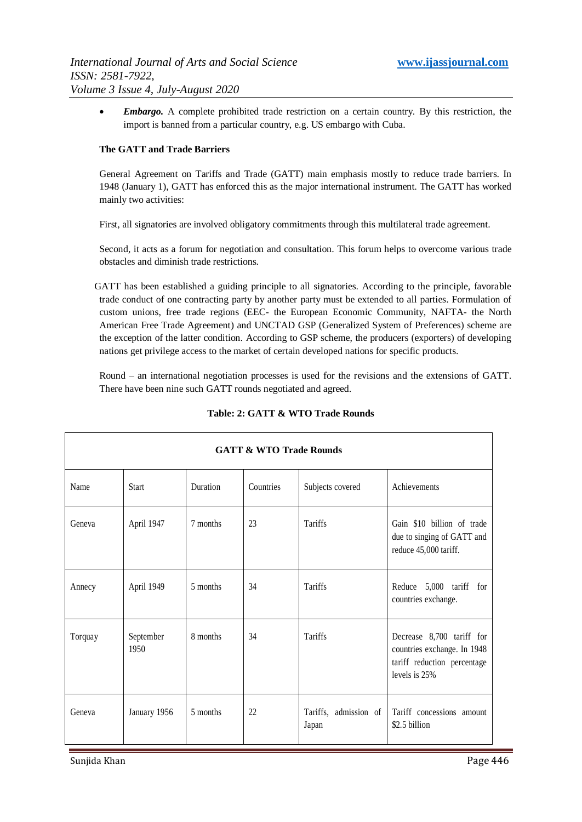*Embargo.* A complete prohibited trade restriction on a certain country. By this restriction, the import is banned from a particular country, e.g. US embargo with Cuba.

#### **The GATT and Trade Barriers**

General Agreement on Tariffs and Trade (GATT) main emphasis mostly to reduce trade barriers. In 1948 (January 1), GATT has enforced this as the major international instrument. The GATT has worked mainly two activities:

First, all signatories are involved obligatory commitments through this multilateral trade agreement.

Second, it acts as a forum for negotiation and consultation. This forum helps to overcome various trade obstacles and diminish trade restrictions.

 GATT has been established a guiding principle to all signatories. According to the principle, favorable trade conduct of one contracting party by another party must be extended to all parties. Formulation of custom unions, free trade regions (EEC- the European Economic Community, NAFTA- the North American Free Trade Agreement) and UNCTAD GSP (Generalized System of Preferences) scheme are the exception of the latter condition. According to GSP scheme, the producers (exporters) of developing nations get privilege access to the market of certain developed nations for specific products.

Round – an international negotiation processes is used for the revisions and the extensions of GATT. There have been nine such GATT rounds negotiated and agreed.

| <b>GATT &amp; WTO Trade Rounds</b> |                   |          |           |                                |                                                                                                          |  |  |  |  |
|------------------------------------|-------------------|----------|-----------|--------------------------------|----------------------------------------------------------------------------------------------------------|--|--|--|--|
| Name                               | <b>Start</b>      | Duration | Countries | Subjects covered               | Achievements                                                                                             |  |  |  |  |
| Geneva                             | April 1947        | 7 months | 23        | <b>Tariffs</b>                 | Gain \$10 billion of trade<br>due to singing of GATT and<br>reduce 45,000 tariff.                        |  |  |  |  |
| Annecy                             | April 1949        | 5 months | 34        | <b>Tariffs</b>                 | Reduce 5,000 tariff for<br>countries exchange.                                                           |  |  |  |  |
| Torquay                            | September<br>1950 | 8 months | 34        | Tariffs                        | Decrease 8,700 tariff for<br>countries exchange. In 1948<br>tariff reduction percentage<br>levels is 25% |  |  |  |  |
| Geneva                             | January 1956      | 5 months | 22        | Tariffs, admission of<br>Japan | Tariff concessions amount<br>\$2.5 billion                                                               |  |  |  |  |

# **Table: 2: GATT & WTO Trade Rounds**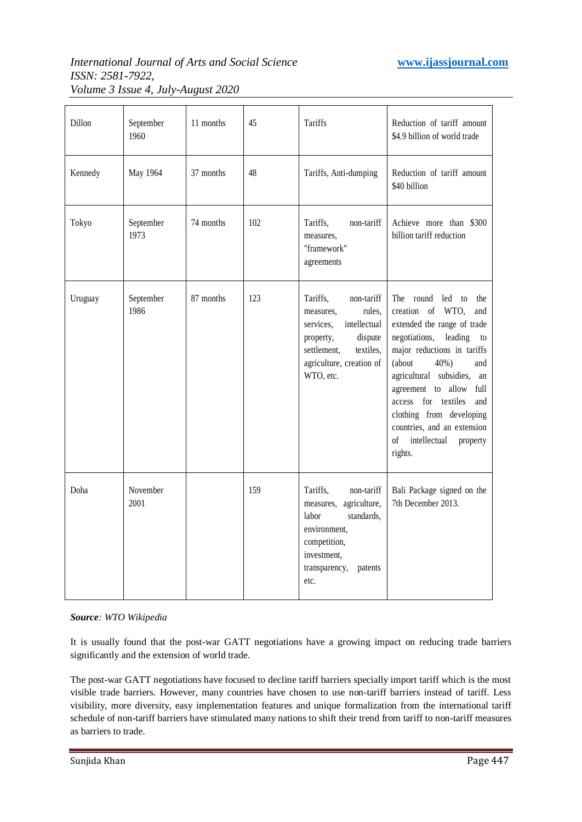# *International Journal of Arts and Social Science* **www.ijassjournal.com** *ISSN: 2581-7922, Volume 3 Issue 4, July-August 2020*

| Dillon  | September<br>1960 | 11 months | 45  | <b>Tariffs</b>                                                                                                                                                          | Reduction of tariff amount<br>\$4.9 billion of world trade                                                                                                                                                                                                                                                                                                                       |
|---------|-------------------|-----------|-----|-------------------------------------------------------------------------------------------------------------------------------------------------------------------------|----------------------------------------------------------------------------------------------------------------------------------------------------------------------------------------------------------------------------------------------------------------------------------------------------------------------------------------------------------------------------------|
| Kennedy | May 1964          | 37 months | 48  | Tariffs, Anti-dumping                                                                                                                                                   | Reduction of tariff amount<br>\$40 billion                                                                                                                                                                                                                                                                                                                                       |
| Tokyo   | September<br>1973 | 74 months | 102 | Tariffs,<br>non-tariff<br>measures,<br>"framework"<br>agreements                                                                                                        | Achieve more than \$300<br>billion tariff reduction                                                                                                                                                                                                                                                                                                                              |
| Uruguay | September<br>1986 | 87 months | 123 | Tariffs,<br>non-tariff<br>rules,<br>measures,<br>intellectual<br>services,<br>dispute<br>property,<br>settlement,<br>textiles,<br>agriculture, creation of<br>WTO, etc. | The round led to<br>the<br>creation of WTO,<br>and<br>extended the range of trade<br>negotiations,<br>leading<br>to<br>major reductions in tariffs<br>(about<br>40%)<br>and<br>agricultural subsidies,<br>an<br>agreement to allow<br>full<br>access for textiles<br>and<br>clothing from developing<br>countries, and an extension<br>of<br>intellectual<br>property<br>rights. |
| Doha    | November<br>2001  |           | 159 | Tariffs,<br>non-tariff<br>agriculture,<br>measures,<br>standards,<br>labor<br>environment,<br>competition,<br>investment,<br>transparency,<br>patents<br>etc.           | Bali Package signed on the<br>7th December 2013.                                                                                                                                                                                                                                                                                                                                 |

# *Source: WTO Wikipedia*

It is usually found that the post-war GATT negotiations have a growing impact on reducing trade barriers significantly and the extension of world trade.

The post-war GATT negotiations have focused to decline tariff barriers specially import tariff which is the most visible trade barriers. However, many countries have chosen to use non-tariff barriers instead of tariff. Less visibility, more diversity, easy implementation features and unique formalization from the international tariff schedule of non-tariff barriers have stimulated many nations to shift their trend from tariff to non-tariff measures as barriers to trade.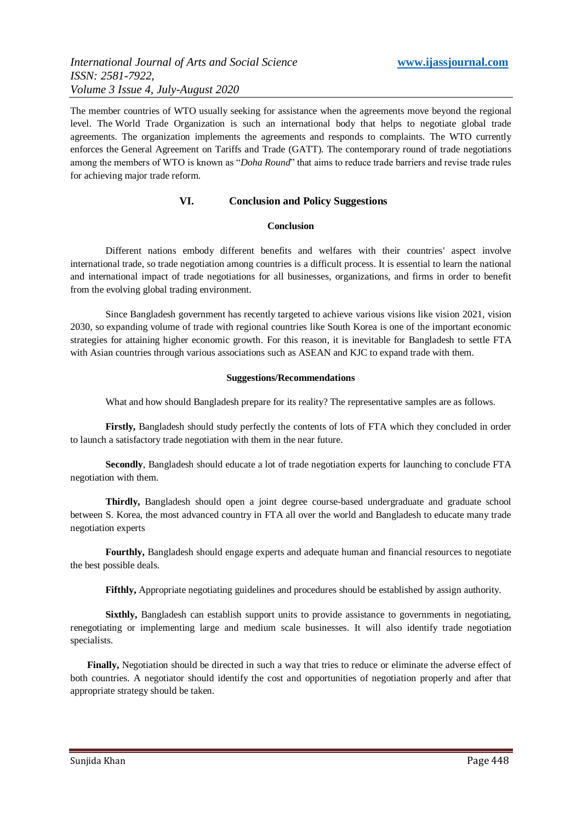The member countries of WTO usually seeking for assistance when the agreements move beyond the regional level. The [World Trade Organization](https://www.thebalance.com/what-is-the-world-trade-organization-wto-3306366) is such an international body that helps to negotiate global trade agreements. The organization implements the agreements and responds to complaints. The WTO currently enforces the [General Agreement on Tariffs and Trade](https://www.thebalance.com/gatt-purpose-history-pros-cons-3305578) (GATT). The contemporary round of trade negotiations among the members of WTO is known as "*Doha Round*" that aims to reduce trade barriers and revise trade rules for achieving major trade reform.

# **VI. Conclusion and Policy Suggestions**

#### **Conclusion**

Different nations embody different benefits and welfares with their countries' aspect involve international trade, so trade negotiation among countries is a difficult process. It is essential to learn the national and international impact of trade negotiations for all businesses, organizations, and firms in order to benefit from the evolving global trading environment.

Since Bangladesh government has recently targeted to achieve various visions like vision 2021, vision 2030, so expanding volume of trade with regional countries like South Korea is one of the important economic strategies for attaining higher economic growth. For this reason, it is inevitable for Bangladesh to settle FTA with Asian countries through various associations such as ASEAN and KJC to expand trade with them.

#### **Suggestions/Recommendations**

What and how should Bangladesh prepare for its reality? The representative samples are as follows.

**Firstly,** Bangladesh should study perfectly the contents of lots of FTA which they concluded in order to launch a satisfactory trade negotiation with them in the near future.

**Secondly**, Bangladesh should educate a lot of trade negotiation experts for launching to conclude FTA negotiation with them.

**Thirdly,** Bangladesh should open a joint degree course-based undergraduate and graduate school between S. Korea, the most advanced country in FTA all over the world and Bangladesh to educate many trade negotiation experts

**Fourthly,** Bangladesh should engage experts and adequate human and financial resources to negotiate the best possible deals.

**Fifthly,** Appropriate negotiating guidelines and procedures should be established by assign authority.

**Sixthly,** Bangladesh can establish support units to provide assistance to governments in negotiating, renegotiating or implementing large and medium scale businesses. It will also identify trade negotiation specialists.

 **Finally,** Negotiation should be directed in such a way that tries to reduce or eliminate the adverse effect of both countries. A negotiator should identify the cost and opportunities of negotiation properly and after that appropriate strategy should be taken.

Sunjida Khan Page 448